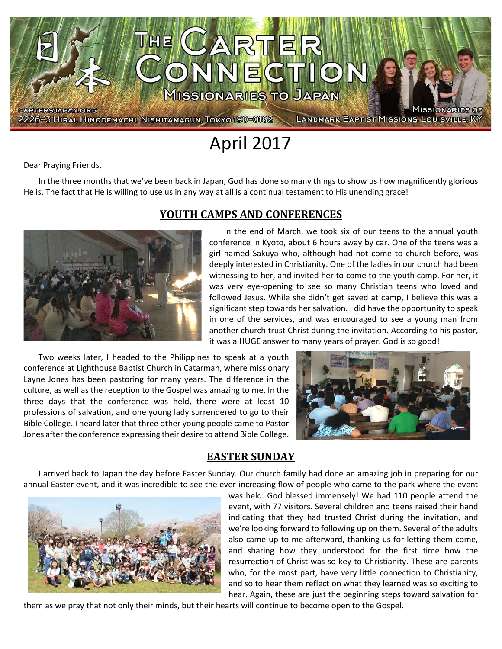

April 2017

Dear Praying Friends,

In the three months that we've been back in Japan, God has done so many things to show us how magnificently glorious He is. The fact that He is willing to use us in any way at all is a continual testament to His unending grace!



#### **YOUTH CAMPS AND CONFERENCES**

In the end of March, we took six of our teens to the annual youth conference in Kyoto, about 6 hours away by car. One of the teens was a girl named Sakuya who, although had not come to church before, was deeply interested in Christianity. One of the ladies in our church had been witnessing to her, and invited her to come to the youth camp. For her, it was very eye-opening to see so many Christian teens who loved and followed Jesus. While she didn't get saved at camp, I believe this was a significant step towards her salvation. I did have the opportunity to speak in one of the services, and was encouraged to see a young man from another church trust Christ during the invitation. According to his pastor, it was a HUGE answer to many years of prayer. God is so good!

Two weeks later, I headed to the Philippines to speak at a youth conference at Lighthouse Baptist Church in Catarman, where missionary Layne Jones has been pastoring for many years. The difference in the culture, as well as the reception to the Gospel was amazing to me. In the three days that the conference was held, there were at least 10 professions of salvation, and one young lady surrendered to go to their Bible College. I heard later that three other young people came to Pastor Jones after the conference expressing their desire to attend Bible College.



#### **EASTER SUNDAY**

I arrived back to Japan the day before Easter Sunday. Our church family had done an amazing job in preparing for our annual Easter event, and it was incredible to see the ever-increasing flow of people who came to the park where the event



was held. God blessed immensely! We had 110 people attend the event, with 77 visitors. Several children and teens raised their hand indicating that they had trusted Christ during the invitation, and we're looking forward to following up on them. Several of the adults also came up to me afterward, thanking us for letting them come, and sharing how they understood for the first time how the resurrection of Christ was so key to Christianity. These are parents who, for the most part, have very little connection to Christianity, and so to hear them reflect on what they learned was so exciting to hear. Again, these are just the beginning steps toward salvation for

them as we pray that not only their minds, but their hearts will continue to become open to the Gospel.